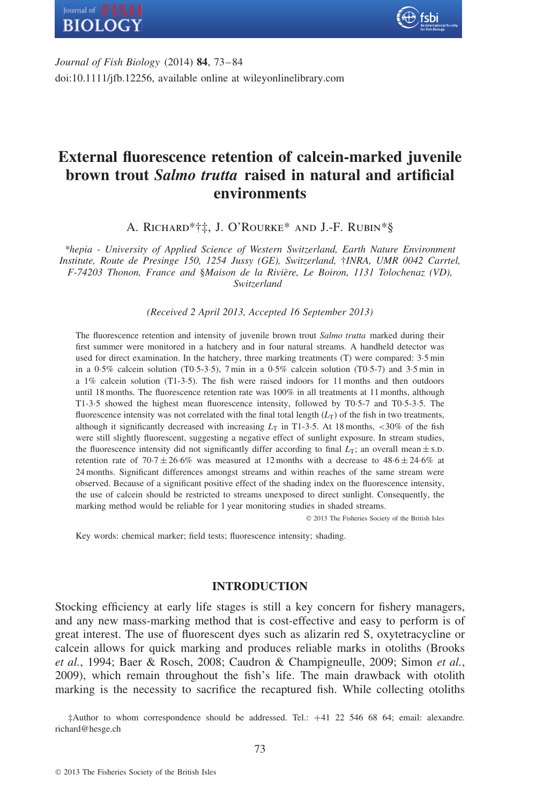



*Journal of Fish Biology* (2014) **84**, 73–84 doi:10.1111/jfb.12256, available online at wileyonlinelibrary.com

# **External fluorescence retention of calcein-marked juvenile brown trout** *Salmo trutta* **raised in natural and artificial environments**

A. Richard\*†‡, J. O'Rourke\* and J.-F. Rubin\*§

*\*hepia - University of Applied Science of Western Switzerland, Earth Nature Environment Institute, Route de Presinge 150, 1254 Jussy (GE), Switzerland,* †*INRA, UMR 0042 Carrtel, F-74203 Thonon, France and* §*Maison de la Rivi`ere, Le Boiron, 1131 Tolochenaz (VD), Switzerland*

*(Received 2 April 2013, Accepted 16 September 2013)*

The fluorescence retention and intensity of juvenile brown trout *Salmo trutta* marked during their first summer were monitored in a hatchery and in four natural streams. A handheld detector was used for direct examination. In the hatchery, three marking treatments (T) were compared: 3·5 min in a  $0.5\%$  calcein solution (T0.5-3.5), 7 min in a  $0.5\%$  calcein solution (T0.5-7) and 3.5 min in a 1% calcein solution (T1-3·5). The fish were raised indoors for 11 months and then outdoors until 18 months. The fluorescence retention rate was 100% in all treatments at 11 months, although T1-3·5 showed the highest mean fluorescence intensity, followed by T0·5-7 and T0·5-3·5. The fluorescence intensity was not correlated with the final total length  $(L_T)$  of the fish in two treatments, although it significantly decreased with increasing  $L_T$  in T1-3.5. At 18 months,  $\langle 30\% \rangle$  of the fish were still slightly fluorescent, suggesting a negative effect of sunlight exposure. In stream studies, the fluorescence intensity did not significantly differ according to final  $L_T$ ; an overall mean  $\pm$  s.D. retention rate of  $70.7 \pm 26.6\%$  was measured at 12 months with a decrease to  $48.6 \pm 24.6\%$  at 24 months. Significant differences amongst streams and within reaches of the same stream were observed. Because of a significant positive effect of the shading index on the fluorescence intensity, the use of calcein should be restricted to streams unexposed to direct sunlight. Consequently, the marking method would be reliable for 1 year monitoring studies in shaded streams.

© 2013 The Fisheries Society of the British Isles

Key words: chemical marker; field tests; fluorescence intensity; shading.

# **INTRODUCTION**

Stocking efficiency at early life stages is still a key concern for fishery managers, and any new mass-marking method that is cost-effective and easy to perform is of great interest. The use of fluorescent dyes such as alizarin red S, oxytetracycline or calcein allows for quick marking and produces reliable marks in otoliths (Brooks *et al.*, 1994; Baer & Rosch, 2008; Caudron & Champigneulle, 2009; Simon *et al.*, 2009), which remain throughout the fish's life. The main drawback with otolith marking is the necessity to sacrifice the recaptured fish. While collecting otoliths

‡Author to whom correspondence should be addressed. Tel.: +41 22 546 68 64; email: alexandre. richard@hesge.ch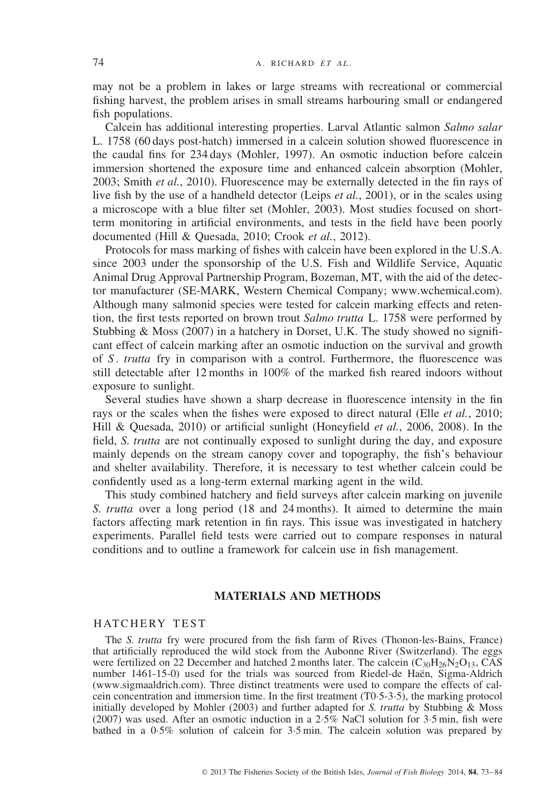may not be a problem in lakes or large streams with recreational or commercial fishing harvest, the problem arises in small streams harbouring small or endangered fish populations.

Calcein has additional interesting properties. Larval Atlantic salmon *Salmo salar* L. 1758 (60 days post-hatch) immersed in a calcein solution showed fluorescence in the caudal fins for 234 days (Mohler, 1997). An osmotic induction before calcein immersion shortened the exposure time and enhanced calcein absorption (Mohler, 2003; Smith *et al.*, 2010). Fluorescence may be externally detected in the fin rays of live fish by the use of a handheld detector (Leips *et al.*, 2001), or in the scales using a microscope with a blue filter set (Mohler, 2003). Most studies focused on shortterm monitoring in artificial environments, and tests in the field have been poorly documented (Hill & Quesada, 2010; Crook *et al.*, 2012).

Protocols for mass marking of fishes with calcein have been explored in the U.S.A. since 2003 under the sponsorship of the U.S. Fish and Wildlife Service, Aquatic Animal Drug Approval Partnership Program, Bozeman, MT, with the aid of the detector manufacturer (SE-MARK, Western Chemical Company; www.wchemical.com). Although many salmonid species were tested for calcein marking effects and retention, the first tests reported on brown trout *Salmo trutta* L. 1758 were performed by Stubbing & Moss (2007) in a hatchery in Dorset, U.K. The study showed no significant effect of calcein marking after an osmotic induction on the survival and growth of *S* . *trutta* fry in comparison with a control. Furthermore, the fluorescence was still detectable after 12 months in 100% of the marked fish reared indoors without exposure to sunlight.

Several studies have shown a sharp decrease in fluorescence intensity in the fin rays or the scales when the fishes were exposed to direct natural (Elle *et al.*, 2010; Hill & Quesada, 2010) or artificial sunlight (Honeyfield *et al.*, 2006, 2008). In the field, *S. trutta* are not continually exposed to sunlight during the day, and exposure mainly depends on the stream canopy cover and topography, the fish's behaviour and shelter availability. Therefore, it is necessary to test whether calcein could be confidently used as a long-term external marking agent in the wild.

This study combined hatchery and field surveys after calcein marking on juvenile *S. trutta* over a long period (18 and 24 months). It aimed to determine the main factors affecting mark retention in fin rays. This issue was investigated in hatchery experiments. Parallel field tests were carried out to compare responses in natural conditions and to outline a framework for calcein use in fish management.

# **MATERIALS AND METHODS**

#### HATCHERY TEST

The *S. trutta* fry were procured from the fish farm of Rives (Thonon-les-Bains, France) that artificially reproduced the wild stock from the Aubonne River (Switzerland). The eggs were fertilized on 22 December and hatched 2 months later. The calcein  $(C_{30}H_{26}N_2O_{13}$ , CAS number 1461-15-0) used for the trials was sourced from Riedel-de Haen, Sigma-Aldrich (www.sigmaaldrich.com). Three distinct treatments were used to compare the effects of calcein concentration and immersion time. In the first treatment (T0·5-3·5), the marking protocol initially developed by Mohler (2003) and further adapted for *S. trutta* by Stubbing & Moss (2007) was used. After an osmotic induction in a  $2.5\%$  NaCl solution for  $3.5$  min, fish were bathed in a 0·5% solution of calcein for 3·5 min. The calcein solution was prepared by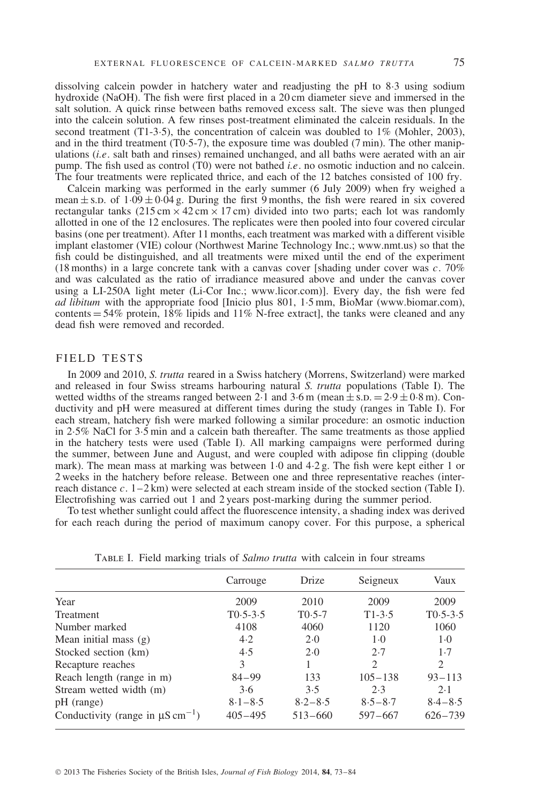dissolving calcein powder in hatchery water and readjusting the pH to 8·3 using sodium hydroxide (NaOH). The fish were first placed in a 20 cm diameter sieve and immersed in the salt solution. A quick rinse between baths removed excess salt. The sieve was then plunged into the calcein solution. A few rinses post-treatment eliminated the calcein residuals. In the second treatment (T1-3.5), the concentration of calcein was doubled to  $1\%$  (Mohler, 2003), and in the third treatment (T0·5-7), the exposure time was doubled (7 min). The other manipulations (*i.e*. salt bath and rinses) remained unchanged, and all baths were aerated with an air pump. The fish used as control (T0) were not bathed *i.e*. no osmotic induction and no calcein. The four treatments were replicated thrice, and each of the 12 batches consisted of 100 fry.

Calcein marking was performed in the early summer (6 July 2009) when fry weighed a mean  $\pm$  s.d. of  $1.09 \pm 0.04$  g. During the first 9 months, the fish were reared in six covered rectangular tanks  $(215 \text{ cm} \times 42 \text{ cm} \times 17 \text{ cm})$  divided into two parts; each lot was randomly allotted in one of the 12 enclosures. The replicates were then pooled into four covered circular basins (one per treatment). After 11 months, each treatment was marked with a different visible implant elastomer (VIE) colour (Northwest Marine Technology Inc.; www.nmt.us) so that the fish could be distinguished, and all treatments were mixed until the end of the experiment (18 months) in a large concrete tank with a canvas cover [shading under cover was *c*. 70% and was calculated as the ratio of irradiance measured above and under the canvas cover using a LI-250A light meter (Li-Cor Inc.; www.licor.com)]. Every day, the fish were fed *ad libitum* with the appropriate food [Inicio plus 801, 1·5 mm, BioMar (www.biomar.com), contents  $= 54\%$  protein, 18% lipids and 11% N-free extract], the tanks were cleaned and any dead fish were removed and recorded.

# FIELD TESTS

In 2009 and 2010, *S. trutta* reared in a Swiss hatchery (Morrens, Switzerland) were marked and released in four Swiss streams harbouring natural *S. trutta* populations (Table I). The wetted widths of the streams ranged between 2.1 and 3.6 m (mean  $\pm$  s.p.  $=$  2.9  $\pm$  0.8 m). Conductivity and pH were measured at different times during the study (ranges in Table I). For each stream, hatchery fish were marked following a similar procedure: an osmotic induction in 2.5% NaCl for  $3.5$  min and a calcein bath thereafter. The same treatments as those applied in the hatchery tests were used (Table I). All marking campaigns were performed during the summer, between June and August, and were coupled with adipose fin clipping (double mark). The mean mass at marking was between 1·0 and 4·2 g. The fish were kept either 1 or 2 weeks in the hatchery before release. Between one and three representative reaches (interreach distance *c*. 1–2 km) were selected at each stream inside of the stocked section (Table I). Electrofishing was carried out 1 and 2 years post-marking during the summer period.

To test whether sunlight could affect the fluorescence intensity, a shading index was derived for each reach during the period of maximum canopy cover. For this purpose, a spherical

|                                                   | Carrouge     | Drize       | Seigneux                    | Vaux                        |
|---------------------------------------------------|--------------|-------------|-----------------------------|-----------------------------|
| Year                                              | 2009         | 2010        | 2009                        | 2009                        |
| <b>Treatment</b>                                  | $T0.5 - 3.5$ | $T0.5-7$    | $T1-3.5$                    | $T0.5 - 3.5$                |
| Number marked                                     | 4108         | 4060        | 1120                        | 1060                        |
| Mean initial mass $(g)$                           | 4.2          | 2.0         | $1-0$                       | $1-0$                       |
| Stocked section (km)                              | 4.5          | 2.0         | 2.7                         | 1.7                         |
| Recapture reaches                                 | 3            |             | $\mathcal{D}_{\mathcal{L}}$ | $\mathcal{D}_{\mathcal{L}}$ |
| Reach length (range in m)                         | $84 - 99$    | 133         | $105 - 138$                 | $93 - 113$                  |
| Stream wetted width (m)                           | 3.6          | 3.5         | 2.3                         | 2.1                         |
| pH (range)                                        | $8.1 - 8.5$  | $8.2 - 8.5$ | $8.5 - 8.7$                 | $8.4 - 8.5$                 |
| Conductivity (range in $\mu$ S cm <sup>-1</sup> ) | $405 - 495$  | $513 - 660$ | $597 - 667$                 | $626 - 739$                 |

Table I. Field marking trials of *Salmo trutta* with calcein in four streams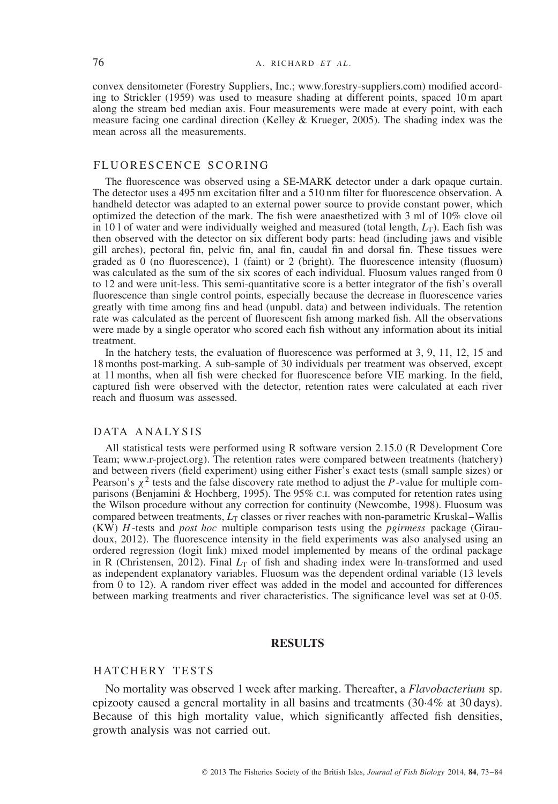convex densitometer (Forestry Suppliers, Inc.; www.forestry-suppliers.com) modified according to Strickler (1959) was used to measure shading at different points, spaced 10 m apart along the stream bed median axis. Four measurements were made at every point, with each measure facing one cardinal direction (Kelley & Krueger, 2005). The shading index was the mean across all the measurements.

# FLUORESCENCE SCORING

The fluorescence was observed using a SE-MARK detector under a dark opaque curtain. The detector uses a 495 nm excitation filter and a 510 nm filter for fluorescence observation. A handheld detector was adapted to an external power source to provide constant power, which optimized the detection of the mark. The fish were anaesthetized with 3 ml of 10% clove oil in 10 l of water and were individually weighed and measured (total length,  $L_T$ ). Each fish was then observed with the detector on six different body parts: head (including jaws and visible gill arches), pectoral fin, pelvic fin, anal fin, caudal fin and dorsal fin. These tissues were graded as  $0$  (no fluorescence), 1 (faint) or 2 (bright). The fluorescence intensity (fluosum) was calculated as the sum of the six scores of each individual. Fluosum values ranged from 0 to 12 and were unit-less. This semi-quantitative score is a better integrator of the fish's overall fluorescence than single control points, especially because the decrease in fluorescence varies greatly with time among fins and head (unpubl. data) and between individuals. The retention rate was calculated as the percent of fluorescent fish among marked fish. All the observations were made by a single operator who scored each fish without any information about its initial treatment.

In the hatchery tests, the evaluation of fluorescence was performed at 3, 9, 11, 12, 15 and 18 months post-marking. A sub-sample of 30 individuals per treatment was observed, except at 11 months, when all fish were checked for fluorescence before VIE marking. In the field, captured fish were observed with the detector, retention rates were calculated at each river reach and fluosum was assessed.

#### DATA ANALYSIS

All statistical tests were performed using R software version 2.15.0 (R Development Core Team; www.r-project.org). The retention rates were compared between treatments (hatchery) and between rivers (field experiment) using either Fisher's exact tests (small sample sizes) or Pearson's  $\chi^2$  tests and the false discovery rate method to adjust the *P*-value for multiple comparisons (Benjamini & Hochberg, 1995). The 95% c.I. was computed for retention rates using the Wilson procedure without any correction for continuity (Newcombe, 1998). Fluosum was compared between treatments,  $L_T$  classes or river reaches with non-parametric Kruskal–Wallis (KW) *H* -tests and *post hoc* multiple comparison tests using the *pgirmess* package (Giraudoux, 2012). The fluorescence intensity in the field experiments was also analysed using an ordered regression (logit link) mixed model implemented by means of the ordinal package in R (Christensen, 2012). Final  $L_T$  of fish and shading index were ln-transformed and used as independent explanatory variables. Fluosum was the dependent ordinal variable (13 levels from 0 to 12). A random river effect was added in the model and accounted for differences between marking treatments and river characteristics. The significance level was set at 0·05.

# **RESULTS**

# HATCHERY TESTS

No mortality was observed 1 week after marking. Thereafter, a *Flavobacterium* sp. epizooty caused a general mortality in all basins and treatments (30·4% at 30 days). Because of this high mortality value, which significantly affected fish densities, growth analysis was not carried out.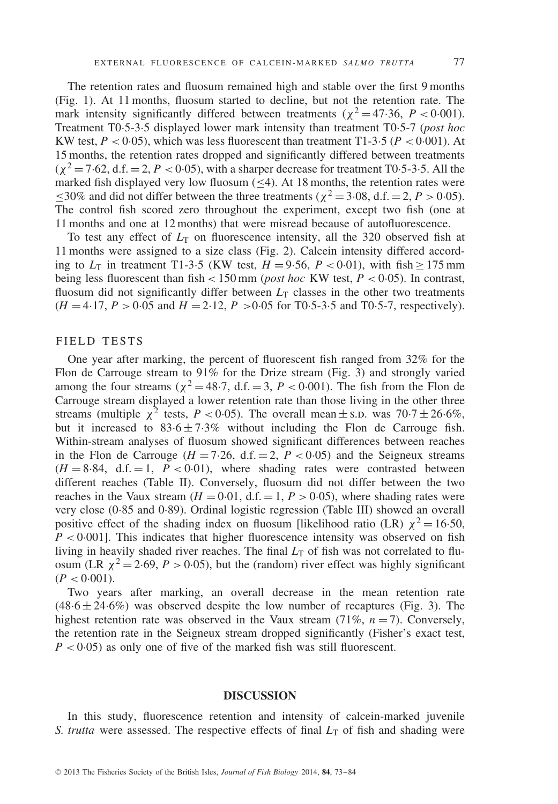The retention rates and fluosum remained high and stable over the first 9 months (Fig. 1). At 11 months, fluosum started to decline, but not the retention rate. The mark intensity significantly differed between treatments ( $\chi^2 = 47.36$ ,  $P < 0.001$ ). Treatment T0·5-3·5 displayed lower mark intensity than treatment T0·5-7 (*post hoc* KW test,  $P < 0.05$ ), which was less fluorescent than treatment T1-3.5 ( $P < 0.001$ ). At 15 months, the retention rates dropped and significantly differed between treatments  $(\chi^2 = 7.62, d.f. = 2, P < 0.05)$ , with a sharper decrease for treatment T0.5-3.5. All the marked fish displayed very low fluosum  $(\leq 4)$ . At 18 months, the retention rates were ≤30% and did not differ between the three treatments ( $\chi^2$  = 3.08, d.f. = 2, *P* > 0.05). The control fish scored zero throughout the experiment, except two fish (one at 11 months and one at 12 months) that were misread because of autofluorescence.

To test any effect of  $L<sub>T</sub>$  on fluorescence intensity, all the 320 observed fish at 11 months were assigned to a size class (Fig. 2). Calcein intensity differed according to  $L_T$  in treatment T1-3.5 (KW test,  $H = 9.56$ ,  $P < 0.01$ ), with fish  $\geq 175$  mm being less fluorescent than fish  $\lt$  150 mm (*post hoc* KW test,  $P \lt$  0.05). In contrast, fluosum did not significantly differ between  $L<sub>T</sub>$  classes in the other two treatments  $(H = 4.17, P > 0.05$  and  $H = 2.12, P > 0.05$  for T0.5-3.5 and T0.5-7, respectively).

#### FIELD TESTS

One year after marking, the percent of fluorescent fish ranged from 32% for the Flon de Carrouge stream to 91% for the Drize stream (Fig. 3) and strongly varied among the four streams ( $\chi^2$  = 48.7, d.f. = 3, *P* < 0.001). The fish from the Flon de Carrouge stream displayed a lower retention rate than those living in the other three streams (multiple  $\chi^2$  tests,  $P < 0.05$ ). The overall mean  $\pm$  s.p. was 70.7  $\pm$  26.6%, but it increased to  $83.6 \pm 7.3\%$  without including the Flon de Carrouge fish. Within-stream analyses of fluosum showed significant differences between reaches in the Flon de Carrouge ( $H = 7.26$ , d.f.  $= 2$ ,  $P < 0.05$ ) and the Seigneux streams  $(H = 8.84, d.f. = 1, P < 0.01)$ , where shading rates were contrasted between different reaches (Table II). Conversely, fluosum did not differ between the two reaches in the Vaux stream  $(H = 0.01, d.f. = 1, P > 0.05)$ , where shading rates were very close (0·85 and 0·89). Ordinal logistic regression (Table III) showed an overall positive effect of the shading index on fluosum [likelihood ratio (LR)  $\chi^2 = 16.50$ ,  $P < 0.001$ . This indicates that higher fluorescence intensity was observed on fish living in heavily shaded river reaches. The final  $L<sub>T</sub>$  of fish was not correlated to fluosum (LR  $\chi^2$  = 2·69, *P* > 0·05), but the (random) river effect was highly significant  $(P < 0.001)$ .

Two years after marking, an overall decrease in the mean retention rate  $(48.6 \pm 24.6\%)$  was observed despite the low number of recaptures (Fig. 3). The highest retention rate was observed in the Vaux stream  $(71\%, n=7)$ . Conversely, the retention rate in the Seigneux stream dropped significantly (Fisher's exact test,  $P < 0.05$ ) as only one of five of the marked fish was still fluorescent.

# **DISCUSSION**

In this study, fluorescence retention and intensity of calcein-marked juvenile *S. trutta* were assessed. The respective effects of final  $L<sub>T</sub>$  of fish and shading were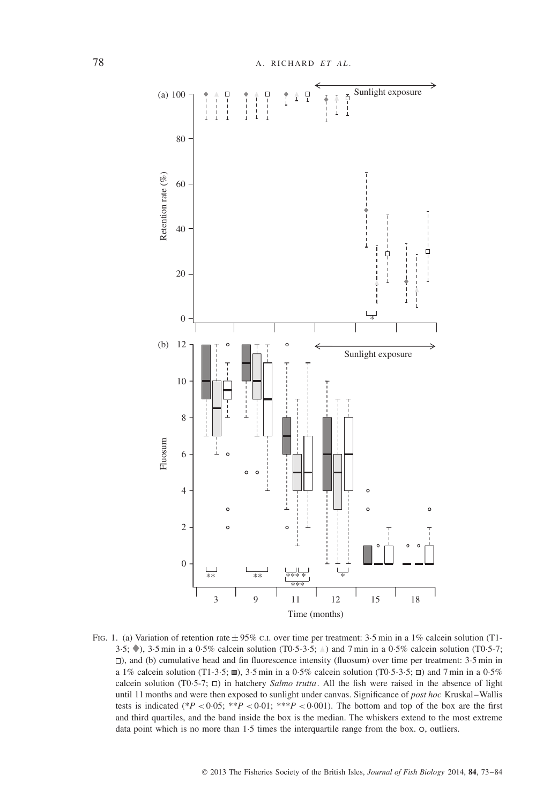

FIG. 1. (a) Variation of retention rate  $\pm$  95% c.i. over time per treatment: 3.5 min in a 1% calcein solution (T1-3.5;  $\diamond$ ), 3.5 min in a 0.5% calcein solution (T0.5-3.5;  $\triangle$ ) and 7 min in a 0.5% calcein solution (T0.5-7; ), and (b) cumulative head and fin fluorescence intensity (fluosum) over time per treatment: 3·5 min in a 1% calcein solution (T1-3·5;  $\blacksquare$ ), 3·5 min in a 0·5% calcein solution (T0·5-3·5;  $\Box$ ) and 7 min in a 0·5% calcein solution (T0·5-7;  $\Box$ ) in hatchery *Salmo trutta*. All the fish were raised in the absence of light until 11 months and were then exposed to sunlight under canvas. Significance of *post hoc* Kruskal–Wallis tests is indicated (\* $P < 0.05$ ; \*\* $P < 0.01$ ; \*\* $P < 0.001$ ). The bottom and top of the box are the first and third quartiles, and the band inside the box is the median. The whiskers extend to the most extreme data point which is no more than  $1.5$  times the interquartile range from the box.  $\circ$ , outliers.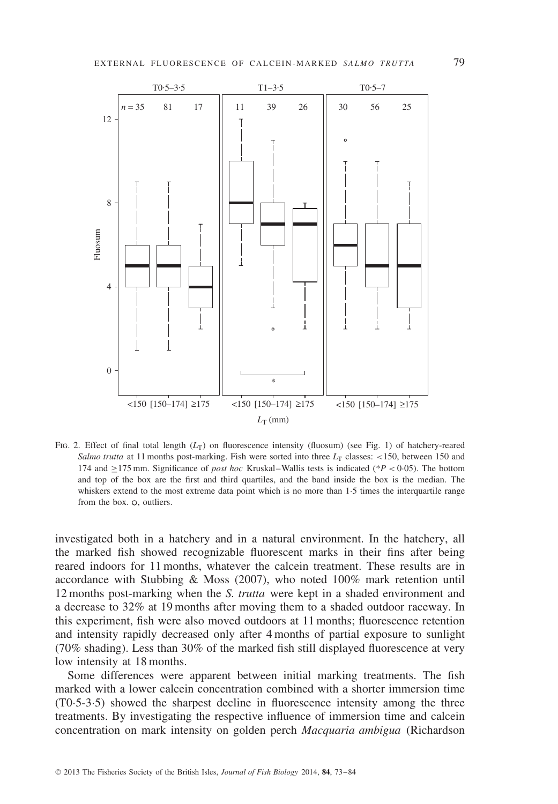

FIG. 2. Effect of final total length (*L*<sub>T</sub>) on fluorescence intensity (fluosum) (see Fig. 1) of hatchery-reared *Salmo trutta* at 11 months post-marking. Fish were sorted into three  $L<sub>T</sub>$  classes: <150, between 150 and 174 and ≥175 mm. Significance of *post hoc* Kruskal–Wallis tests is indicated (\**P <* 0·05). The bottom and top of the box are the first and third quartiles, and the band inside the box is the median. The whiskers extend to the most extreme data point which is no more than 1.5 times the interquartile range from the box.  $\circ$ , outliers.

investigated both in a hatchery and in a natural environment. In the hatchery, all the marked fish showed recognizable fluorescent marks in their fins after being reared indoors for 11 months, whatever the calcein treatment. These results are in accordance with Stubbing & Moss (2007), who noted 100% mark retention until 12 months post-marking when the *S. trutta* were kept in a shaded environment and a decrease to 32% at 19 months after moving them to a shaded outdoor raceway. In this experiment, fish were also moved outdoors at 11 months; fluorescence retention and intensity rapidly decreased only after 4 months of partial exposure to sunlight (70% shading). Less than 30% of the marked fish still displayed fluorescence at very low intensity at 18 months.

Some differences were apparent between initial marking treatments. The fish marked with a lower calcein concentration combined with a shorter immersion time (T0·5-3·5) showed the sharpest decline in fluorescence intensity among the three treatments. By investigating the respective influence of immersion time and calcein concentration on mark intensity on golden perch *Macquaria ambigua* (Richardson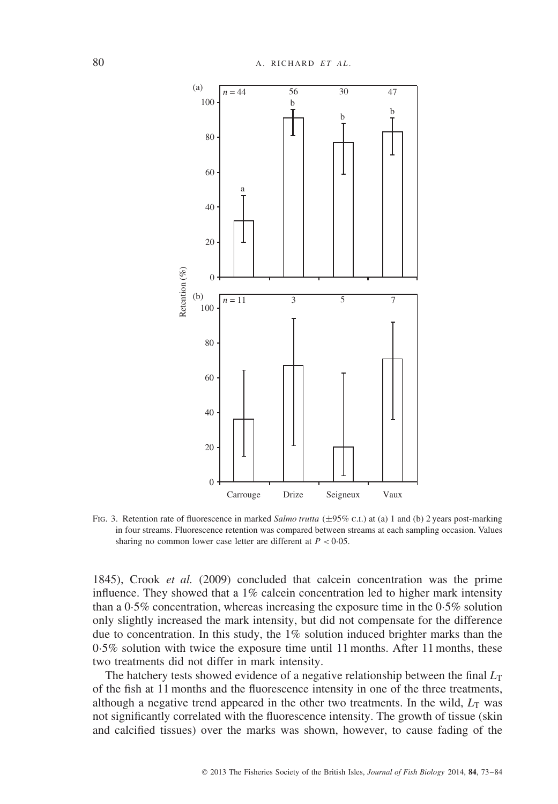

FIG. 3. Retention rate of fluorescence in marked *Salmo trutta* (±95% c.i.) at (a) 1 and (b) 2 years post-marking in four streams. Fluorescence retention was compared between streams at each sampling occasion. Values sharing no common lower case letter are different at  $P < 0.05$ .

1845), Crook *et al.* (2009) concluded that calcein concentration was the prime influence. They showed that a  $1\%$  calcein concentration led to higher mark intensity than a 0·5% concentration, whereas increasing the exposure time in the 0·5% solution only slightly increased the mark intensity, but did not compensate for the difference due to concentration. In this study, the 1% solution induced brighter marks than the 0·5% solution with twice the exposure time until 11 months. After 11 months, these two treatments did not differ in mark intensity.

The hatchery tests showed evidence of a negative relationship between the final  $L_T$ of the fish at 11 months and the fluorescence intensity in one of the three treatments, although a negative trend appeared in the other two treatments. In the wild,  $L_T$  was not significantly correlated with the fluorescence intensity. The growth of tissue (skin and calcified tissues) over the marks was shown, however, to cause fading of the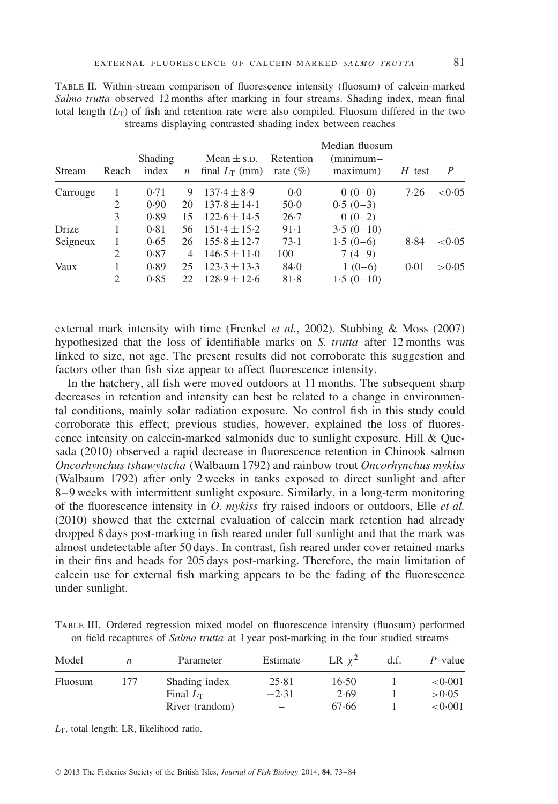| Stream   | Reach | Shading<br>index | $\boldsymbol{n}$ | Mean $\pm$ s.p.<br>final $L_{\text{t}}$ (mm) | Retention<br>rate $(\% )$ | Median fluosum<br>$(minimum-$<br>maximum) | $H$ test | $\boldsymbol{P}$ |
|----------|-------|------------------|------------------|----------------------------------------------|---------------------------|-------------------------------------------|----------|------------------|
| Carrouge |       | 0.71             | 9                | $137.4 \pm 8.9$                              | 0.0                       | $0(0-0)$                                  | 7.26     | < 0.05           |
|          | 2     | 0.90             | 20               | $137.8 \pm 14.1$                             | $50-0$                    | $0.5(0-3)$                                |          |                  |
|          | 3     | 0.89             | 15               | $122.6 \pm 14.5$                             | 26.7                      | $0(0-2)$                                  |          |                  |
| Drize    |       | 0.81             | 56               | $151.4 \pm 15.2$                             | 91.1                      | $3.5(0-10)$                               |          |                  |
| Seigneux |       | 0.65             | 26               | $155.8 \pm 12.7$                             | 73.1                      | $1.5(0-6)$                                | 8.84     | < 0.05           |
|          | 2     | 0.87             | 4                | $146.5 \pm 11.0$                             | 100                       | $7(4-9)$                                  |          |                  |
| Vaux     |       | 0.89             | 25               | $123.3 \pm 13.3$                             | 84.0                      | $1(0-6)$                                  | 0.01     | > 0.05           |
|          | 2     | 0.85             | 22.              | $128.9 \pm 12.6$                             | 81.8                      | $1.5(0-10)$                               |          |                  |

Table II. Within-stream comparison of fluorescence intensity (fluosum) of calcein-marked *Salmo trutta* observed 12 months after marking in four streams. Shading index, mean final total length  $(L_T)$  of fish and retention rate were also compiled. Fluosum differed in the two streams displaying contrasted shading index between reaches

external mark intensity with time (Frenkel *et al.*, 2002). Stubbing & Moss (2007) hypothesized that the loss of identifiable marks on *S. trutta* after 12 months was linked to size, not age. The present results did not corroborate this suggestion and factors other than fish size appear to affect fluorescence intensity.

In the hatchery, all fish were moved outdoors at 11 months. The subsequent sharp decreases in retention and intensity can best be related to a change in environmental conditions, mainly solar radiation exposure. No control fish in this study could corroborate this effect; previous studies, however, explained the loss of fluorescence intensity on calcein-marked salmonids due to sunlight exposure. Hill & Quesada (2010) observed a rapid decrease in fluorescence retention in Chinook salmon *Oncorhynchus tshawytscha* (Walbaum 1792) and rainbow trout *Oncorhynchus mykiss* (Walbaum 1792) after only 2 weeks in tanks exposed to direct sunlight and after 8–9 weeks with intermittent sunlight exposure. Similarly, in a long-term monitoring of the fluorescence intensity in *O. mykiss* fry raised indoors or outdoors, Elle *et al.* (2010) showed that the external evaluation of calcein mark retention had already dropped 8 days post-marking in fish reared under full sunlight and that the mark was almost undetectable after 50 days. In contrast, fish reared under cover retained marks in their fins and heads for 205 days post-marking. Therefore, the main limitation of calcein use for external fish marking appears to be the fading of the fluorescence under sunlight.

Table III. Ordered regression mixed model on fluorescence intensity (fluosum) performed on field recaptures of *Salmo trutta* at 1 year post-marking in the four studied streams

| Model   | n   | Parameter                          | Estimate         | $LR y^2$      | d.f. | $P$ -value        |
|---------|-----|------------------------------------|------------------|---------------|------|-------------------|
| Fluosum | 177 | Shading index<br>Final $L_{\rm T}$ | 25.81<br>$-2.31$ | 16.50<br>2.69 |      | < 0.001<br>> 0.05 |
|         |     | River (random)                     | $\equiv$         | 67.66         |      | < 0.001           |

*L*T, total length; LR, likelihood ratio.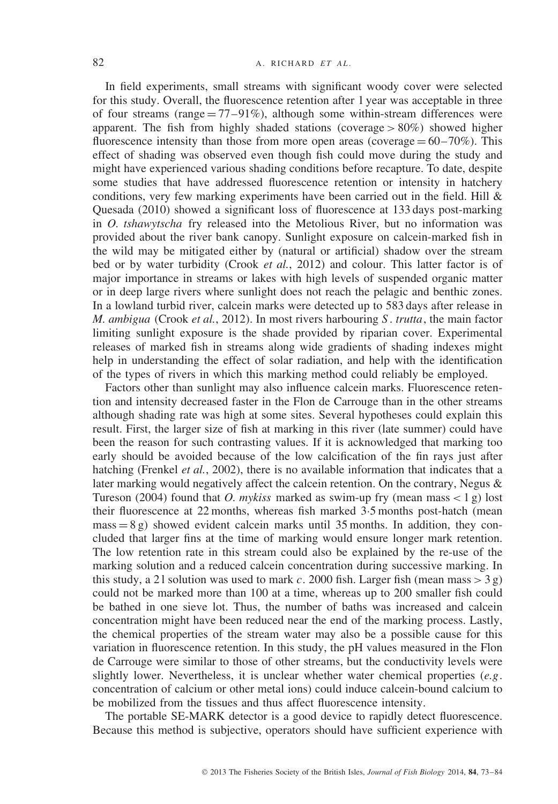In field experiments, small streams with significant woody cover were selected for this study. Overall, the fluorescence retention after 1 year was acceptable in three of four streams (range  $= 77-91\%$ ), although some within-stream differences were apparent. The fish from highly shaded stations (coverage *>* 80%) showed higher fluorescence intensity than those from more open areas (coverage  $= 60-70\%$ ). This effect of shading was observed even though fish could move during the study and might have experienced various shading conditions before recapture. To date, despite some studies that have addressed fluorescence retention or intensity in hatchery conditions, very few marking experiments have been carried out in the field. Hill  $\&$ Quesada (2010) showed a significant loss of fluorescence at 133 days post-marking in *O. tshawytscha* fry released into the Metolious River, but no information was provided about the river bank canopy. Sunlight exposure on calcein-marked fish in the wild may be mitigated either by (natural or artificial) shadow over the stream bed or by water turbidity (Crook *et al.*, 2012) and colour. This latter factor is of major importance in streams or lakes with high levels of suspended organic matter or in deep large rivers where sunlight does not reach the pelagic and benthic zones. In a lowland turbid river, calcein marks were detected up to 583 days after release in *M. ambigua* (Crook *et al.*, 2012). In most rivers harbouring *S* . *trutta*, the main factor limiting sunlight exposure is the shade provided by riparian cover. Experimental releases of marked fish in streams along wide gradients of shading indexes might help in understanding the effect of solar radiation, and help with the identification of the types of rivers in which this marking method could reliably be employed.

Factors other than sunlight may also influence calcein marks. Fluorescence retention and intensity decreased faster in the Flon de Carrouge than in the other streams although shading rate was high at some sites. Several hypotheses could explain this result. First, the larger size of fish at marking in this river (late summer) could have been the reason for such contrasting values. If it is acknowledged that marking too early should be avoided because of the low calcification of the fin rays just after hatching (Frenkel *et al.*, 2002), there is no available information that indicates that a later marking would negatively affect the calcein retention. On the contrary, Negus & Tureson (2004) found that *O. mykiss* marked as swim-up fry (mean mass *<* 1 g) lost their fluorescence at 22 months, whereas fish marked 3·5 months post-hatch (mean  $mass = 8 g$ ) showed evident calcein marks until 35 months. In addition, they concluded that larger fins at the time of marking would ensure longer mark retention. The low retention rate in this stream could also be explained by the re-use of the marking solution and a reduced calcein concentration during successive marking. In this study, a 21 solution was used to mark *c*. 2000 fish. Larger fish (mean mass  $>$  3 g) could not be marked more than 100 at a time, whereas up to 200 smaller fish could be bathed in one sieve lot. Thus, the number of baths was increased and calcein concentration might have been reduced near the end of the marking process. Lastly, the chemical properties of the stream water may also be a possible cause for this variation in fluorescence retention. In this study, the pH values measured in the Flon de Carrouge were similar to those of other streams, but the conductivity levels were slightly lower. Nevertheless, it is unclear whether water chemical properties (*e.g*. concentration of calcium or other metal ions) could induce calcein-bound calcium to be mobilized from the tissues and thus affect fluorescence intensity.

The portable SE-MARK detector is a good device to rapidly detect fluorescence. Because this method is subjective, operators should have sufficient experience with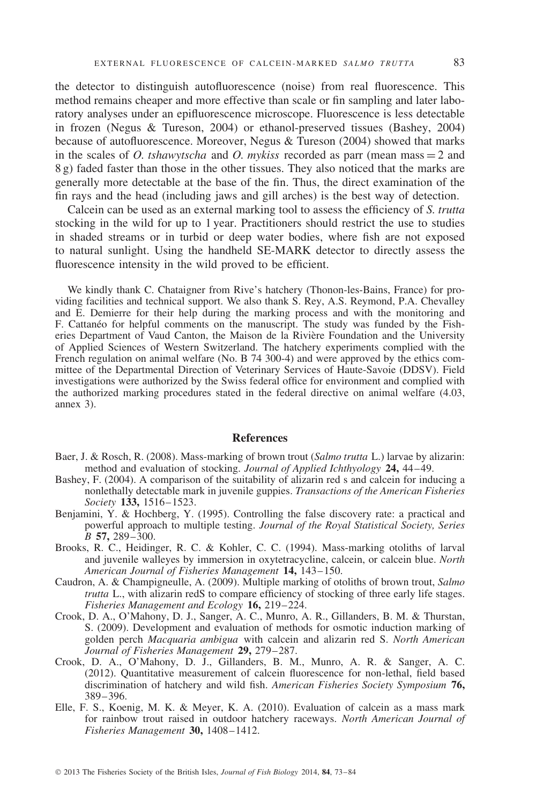the detector to distinguish autofluorescence (noise) from real fluorescence. This method remains cheaper and more effective than scale or fin sampling and later laboratory analyses under an epifluorescence microscope. Fluorescence is less detectable in frozen (Negus & Tureson, 2004) or ethanol-preserved tissues (Bashey, 2004) because of autofluorescence. Moreover, Negus & Tureson (2004) showed that marks in the scales of *O. tshawytscha* and *O. mykiss* recorded as parr (mean mass = 2 and 8 g) faded faster than those in the other tissues. They also noticed that the marks are generally more detectable at the base of the fin. Thus, the direct examination of the fin rays and the head (including jaws and gill arches) is the best way of detection.

Calcein can be used as an external marking tool to assess the efficiency of *S. trutta* stocking in the wild for up to 1 year. Practitioners should restrict the use to studies in shaded streams or in turbid or deep water bodies, where fish are not exposed to natural sunlight. Using the handheld SE-MARK detector to directly assess the fluorescence intensity in the wild proved to be efficient.

We kindly thank C. Chataigner from Rive's hatchery (Thonon-les-Bains, France) for providing facilities and technical support. We also thank S. Rey, A.S. Reymond, P.A. Chevalley and E. Demierre for their help during the marking process and with the monitoring and F. Cattaneo for helpful comments on the manuscript. The study was funded by the Fish- ´ eries Department of Vaud Canton, the Maison de la Riviere Foundation and the University ` of Applied Sciences of Western Switzerland. The hatchery experiments complied with the French regulation on animal welfare (No. B 74 300-4) and were approved by the ethics committee of the Departmental Direction of Veterinary Services of Haute-Savoie (DDSV). Field investigations were authorized by the Swiss federal office for environment and complied with the authorized marking procedures stated in the federal directive on animal welfare (4.03, annex 3).

# **References**

- Baer, J. & Rosch, R. (2008). Mass-marking of brown trout (*Salmo trutta* L.) larvae by alizarin: method and evaluation of stocking. *Journal of Applied Ichthyology* **24,** 44–49.
- Bashey, F. (2004). A comparison of the suitability of alizarin red s and calcein for inducing a nonlethally detectable mark in juvenile guppies. *Transactions of the American Fisheries Society* **133,** 1516–1523.
- Benjamini,  $\dot{Y}$ . & Hochberg, Y. (1995). Controlling the false discovery rate: a practical and powerful approach to multiple testing. *Journal of the Royal Statistical Society, Series B* **57,** 289–300.
- Brooks, R. C., Heidinger, R. C. & Kohler, C. C. (1994). Mass-marking otoliths of larval and juvenile walleyes by immersion in oxytetracycline, calcein, or calcein blue. *North American Journal of Fisheries Management* **14,** 143–150.
- Caudron, A. & Champigneulle, A. (2009). Multiple marking of otoliths of brown trout, *Salmo trutta* L., with alizarin redS to compare efficiency of stocking of three early life stages. *Fisheries Management and Ecology* **16,** 219–224.
- Crook, D. A., O'Mahony, D. J., Sanger, A. C., Munro, A. R., Gillanders, B. M. & Thurstan, S. (2009). Development and evaluation of methods for osmotic induction marking of golden perch *Macquaria ambigua* with calcein and alizarin red S. *North American Journal of Fisheries Management* **29,** 279–287.
- Crook, D. A., O'Mahony, D. J., Gillanders, B. M., Munro, A. R. & Sanger, A. C. (2012). Quantitative measurement of calcein fluorescence for non-lethal, field based discrimination of hatchery and wild fish. *American Fisheries Society Symposium* **76,** 389–396.
- Elle, F. S., Koenig, M. K. & Meyer, K. A. (2010). Evaluation of calcein as a mass mark for rainbow trout raised in outdoor hatchery raceways. *North American Journal of Fisheries Management* **30,** 1408–1412.